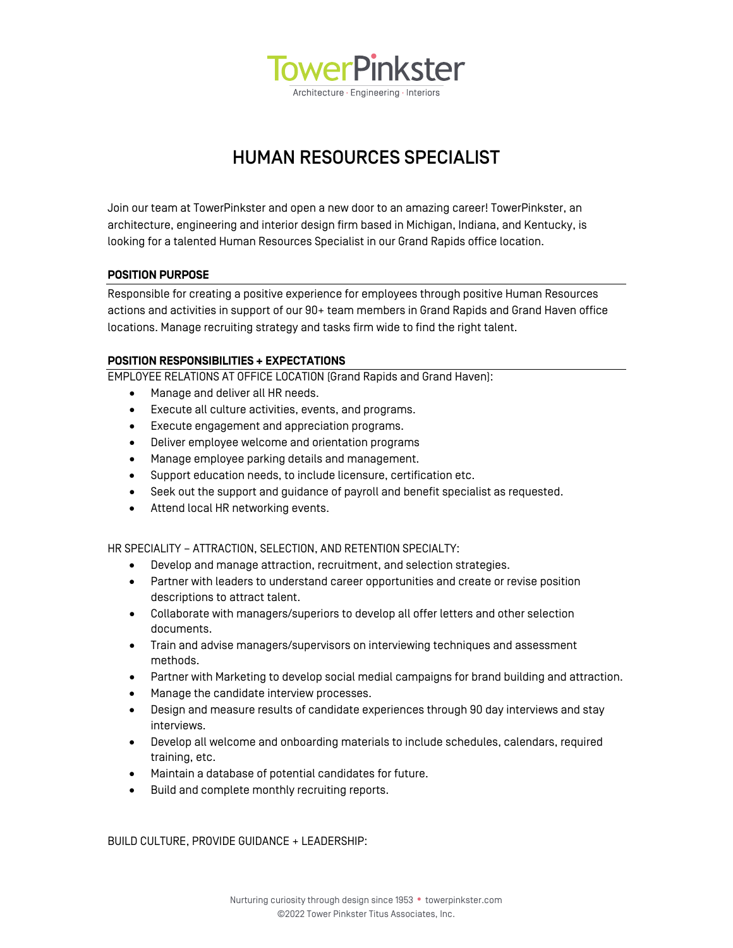

# HUMAN RESOURCES SPECIALIST

Join our team at TowerPinkster and open a new door to an amazing career! TowerPinkster, an architecture, engineering and interior design firm based in Michigan, Indiana, and Kentucky, is looking for a talented Human Resources Specialist in our Grand Rapids office location.

## **POSITION PURPOSE**

Responsible for creating a positive experience for employees through positive Human Resources actions and activities in support of our 90+ team members in Grand Rapids and Grand Haven office locations. Manage recruiting strategy and tasks firm wide to find the right talent.

## **POSITION RESPONSIBILITIES + EXPECTATIONS**

EMPLOYEE RELATIONS AT OFFICE LOCATION (Grand Rapids and Grand Haven):

- Manage and deliver all HR needs.
- Execute all culture activities, events, and programs.
- Execute engagement and appreciation programs.
- Deliver employee welcome and orientation programs
- Manage employee parking details and management.
- Support education needs, to include licensure, certification etc.
- Seek out the support and guidance of payroll and benefit specialist as requested.
- Attend local HR networking events.

HR SPECIALITY – ATTRACTION, SELECTION, AND RETENTION SPECIALTY:

- Develop and manage attraction, recruitment, and selection strategies.
- Partner with leaders to understand career opportunities and create or revise position descriptions to attract talent.
- Collaborate with managers/superiors to develop all offer letters and other selection documents.
- Train and advise managers/supervisors on interviewing techniques and assessment methods.
- Partner with Marketing to develop social medial campaigns for brand building and attraction.
- Manage the candidate interview processes.
- Design and measure results of candidate experiences through 90 day interviews and stay interviews.
- Develop all welcome and onboarding materials to include schedules, calendars, required training, etc.
- Maintain a database of potential candidates for future.
- Build and complete monthly recruiting reports.

BUILD CULTURE, PROVIDE GUIDANCE + LEADERSHIP: